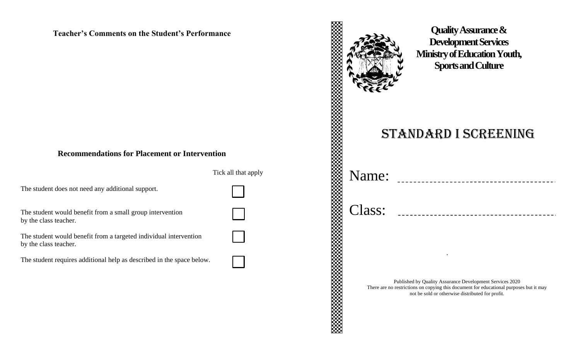### **Teacher's Comments on the Student's Performance**

### **Recommendations for Placement or Intervention**

Tick all that apply

The student does not need any additional support.

The student would benefit from a small group intervention by the class teacher.

The student would benefit from a targeted individual intervention by the class teacher.

The student requires additional help as described in the space below.

# **Quality Assurance & Development Services Ministry of Education Youth, Sports and Culture** Standard I Screening Name: Class: *.* Published by Quality Assurance Development Services 2020 There are no restrictions on copying this document for educational purposes but it may not be sold or otherwise distributed for profit.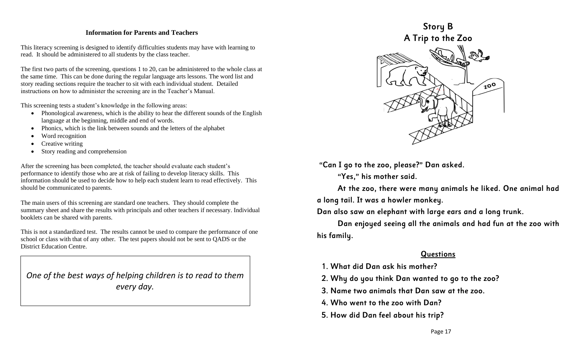#### **Information for Parents and Teachers**

This literacy screening is designed to identify difficulties students may have with learning to read. It should be administered to all students by the class teacher.

The first two parts of the screening, questions 1 to 20, can be administered to the whole class at the same time. This can be done during the regular language arts lessons. The word list and story reading sections require the teacher to sit with each individual student. Detailed instructions on how to administer the screening are in the Teacher's Manual.

This screening tests a student's knowledge in the following areas:

- Phonological awareness, which is the ability to hear the different sounds of the English language at the beginning, middle and end of words.
- Phonics, which is the link between sounds and the letters of the alphabet
- Word recognition
- Creative writing
- Story reading and comprehension

After the screening has been completed, the teacher should evaluate each student's performance to identify those who are at risk of failing to develop literacy skills. This information should be used to decide how to help each student learn to read effectively. This should be communicated to parents.

The main users of this screening are standard one teachers. They should complete the summary sheet and share the results with principals and other teachers if necessary. Individual booklets can be shared with parents.

This is not a standardized test. The results cannot be used to compare the performance of one school or class with that of any other. The test papers should not be sent to QADS or the District Education Centre.

*One of the best ways of helping children is to read to them every day.*



"Can I go to the zoo, please?" Dan asked.

"Yes," his mother said.

At the zoo, there were many animals he liked. One animal had a long tail. It was a howler monkey.

Dan also saw an elephant with large ears and a long trunk.

Dan enjoyed seeing all the animals and had fun at the zoo with his family.

### Questions

1. What did Dan ask his mother?

2. Why do you think Dan wanted to go to the zoo?

- 3. Name two animals that Dan saw at the zoo.
- 4. Who went to the zoo with Dan?
- 5. How did Dan feel about his trip?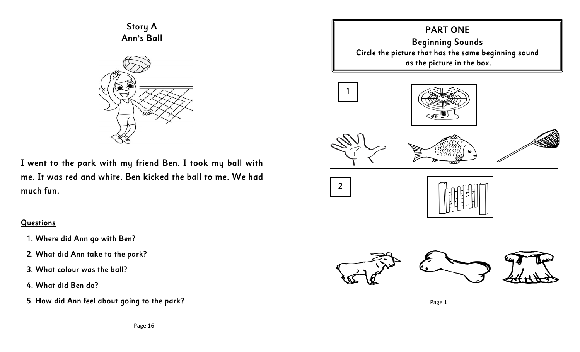Story A Ann's Ball



I went to the park with my friend Ben. I took my ball with me. It was red and white. Ben kicked the ball to me. We had much fun.

### **Questions**

- 1. Where did Ann go with Ben?
- 2. What did Ann take to the park?
- 3. What colour was the ball?
- 4. What did Ben do?
- 5. How did Ann feel about going to the park?

### PART ONE Beginning Sounds Circle the picture that has the same beginning sound as the picture in the box.



2









Page 1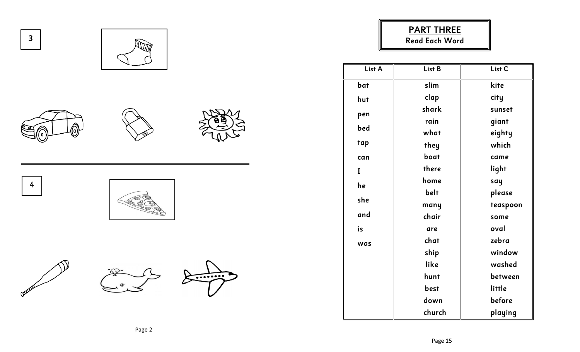

### PART THREE Read Each Word

| List A | List B | List <sub>C</sub> |
|--------|--------|-------------------|
| bat    | slim   | kite              |
| hut    | clap   | city              |
| pen    | shark  | sunset            |
|        | rain   | giant             |
| bed    | what   | eighty            |
| tap    | they   | which             |
| can    | boat   | came              |
| I      | there  | light             |
| he     | home   | say               |
|        | belt   | please            |
| she    | many   | teaspoon          |
| and    | chair  | some              |
| is     | are    | oval              |
| was    | chat   | zebra             |
|        | ship   | window            |
|        | like   | washed            |
|        | hunt   | between           |
|        | best   | little            |
|        | down   | before            |
|        | church | playing           |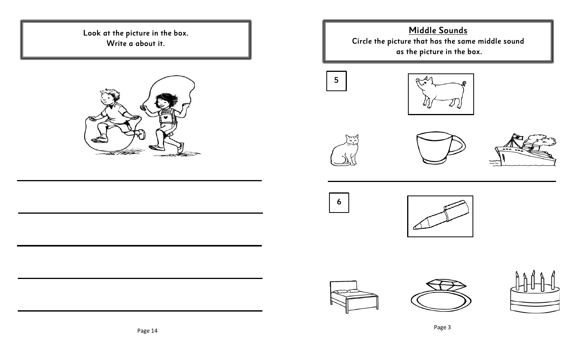Look at the picture in the box. Write a about it.



Middle Sounds Circle the picture that has the same middle sound as the picture in the box.





















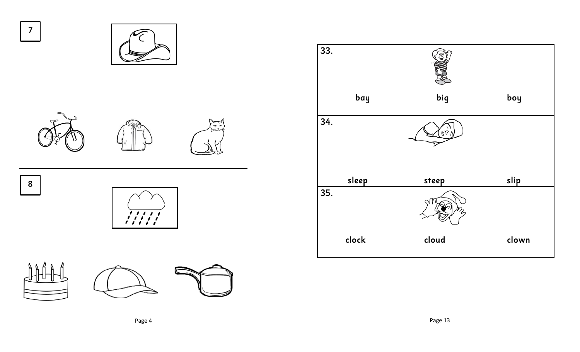





8



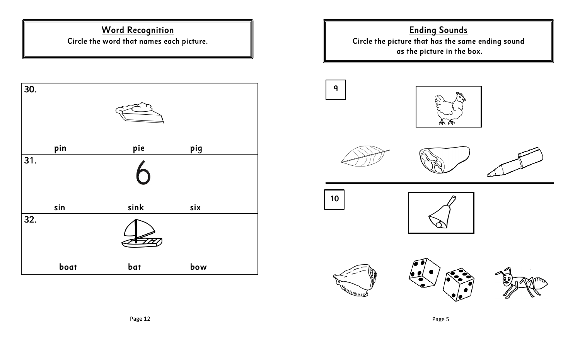### Word Recognition Circle the word that names each picture.



Ending Sounds Circle the picture that has the same ending sound as the picture in the box.















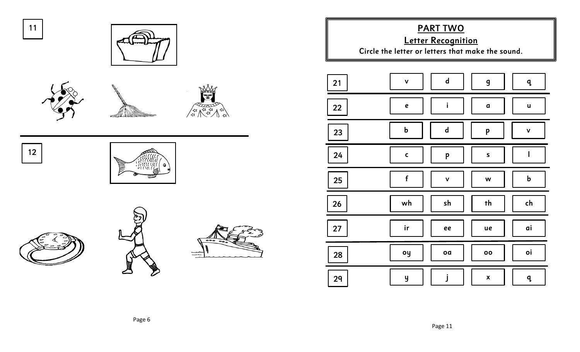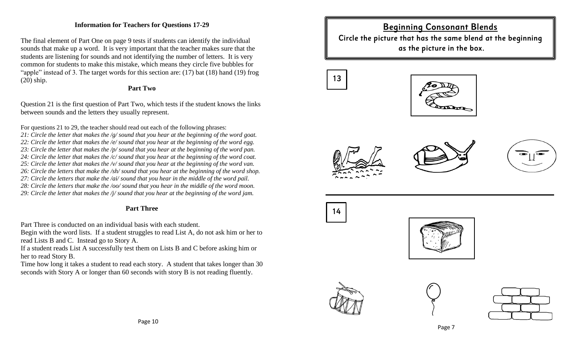#### **Information for Teachers for Questions 17-29**

The final element of Part One on page 9 tests if students can identify the individual sounds that make up a word. It is very important that the teacher makes sure that the students are listening for sounds and not identifying the number of letters. It is very common for students to make this mistake, which means they circle five bubbles for "apple" instead of 3. The target words for this section are: (17) bat (18) hand (19) frog (20) ship.

#### **Part Two**

Question 21 is the first question of Part Two, which tests if the student knows the links between sounds and the letters they usually represent.

For questions 21 to 29, the teacher should read out each of the following phrases:

*21: Circle the letter that makes the /g/ sound that you hear at the beginning of the word goat. 22: Circle the letter that makes the /e/ sound that you hear at the beginning of the word egg. 23: Circle the letter that makes the /p/ sound that you hear at the beginning of the word pan. 24: Circle the letter that makes the /c/ sound that you hear at the beginning of the word coat. 25: Circle the letter that makes the /v/ sound that you hear at the beginning of the word van. 26: Circle the letters that make the /sh/ sound that you hear at the beginning of the word shop. 27: Circle the letters that make the /ai/ sound that you hear in the middle of the word pail. 28: Circle the letters that make the /oo/ sound that you hear in the middle of the word moon.*

*29: Circle the letter that makes the /j/ sound that you hear at the beginning of the word jam.* 

### **Part Three**

Part Three is conducted on an individual basis with each student.

Begin with the word lists. If a student struggles to read List A, do not ask him or her to read Lists B and C. Instead go to Story A.

If a student reads List A successfully test them on Lists B and C before asking him or her to read Story B.

Time how long it takes a student to read each story. A student that takes longer than 30 seconds with Story A or longer than 60 seconds with story B is not reading fluently.

### Beginning Consonant Blends Circle the picture that has the same blend at the beginning as the picture in the box.